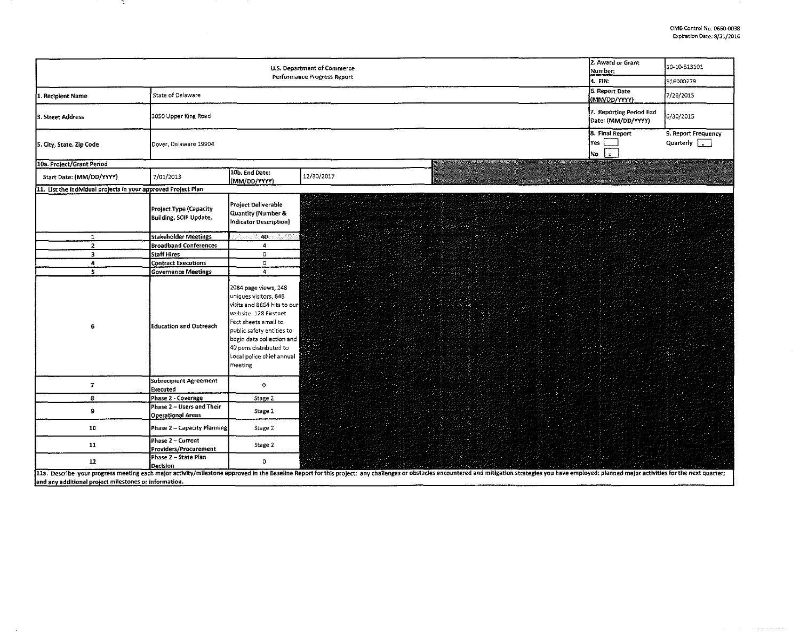$\sim$ 

|                                                                | 2. Award or Grant<br><b>U.S. Department of Commerce</b><br>Number:<br>Performance Progress Report | 10-10-513101                                                                                                                                                                                                                                              |                                                                                                                                                                                                                                |                                             |
|----------------------------------------------------------------|---------------------------------------------------------------------------------------------------|-----------------------------------------------------------------------------------------------------------------------------------------------------------------------------------------------------------------------------------------------------------|--------------------------------------------------------------------------------------------------------------------------------------------------------------------------------------------------------------------------------|---------------------------------------------|
|                                                                | 4. Ell :                                                                                          | 516000279                                                                                                                                                                                                                                                 |                                                                                                                                                                                                                                |                                             |
| 1. Recipient Name                                              | State of Delaware                                                                                 |                                                                                                                                                                                                                                                           | 6. Report Date<br>(MM/DD/YYYY)                                                                                                                                                                                                 | 7/26/2015                                   |
| 3. Street Address                                              | 3050 Upper King Road                                                                              |                                                                                                                                                                                                                                                           | 7. Reporting Period End<br>Date: (MM/DD/YYYY)                                                                                                                                                                                  | 6/30/2015                                   |
| 5. City, State, Zip Code                                       | Dover, Delaware 19904                                                                             |                                                                                                                                                                                                                                                           | 8. Final Report<br>Yes  <br>$\mathbf{x}$<br>No                                                                                                                                                                                 | 9. Report Frequency<br>Quarterly $\sqrt{ }$ |
| 10a. Project/Grant Period                                      |                                                                                                   |                                                                                                                                                                                                                                                           |                                                                                                                                                                                                                                |                                             |
| Start Date: (MM/DD/YYYY)                                       | 7/01/2013                                                                                         | 10b. End Date:<br>(MM/DD/YYYY)                                                                                                                                                                                                                            | 12/30/2017                                                                                                                                                                                                                     |                                             |
| 11. List the individual projects in your approved Project Plan |                                                                                                   |                                                                                                                                                                                                                                                           |                                                                                                                                                                                                                                |                                             |
|                                                                | Project Type (Capacity<br>Building, SCIP Update,                                                  | Project Deliverable<br>Quantity (Number &<br>Indicator Description)                                                                                                                                                                                       | 공장에 설치한 선생님께서 안<br>Ang Palitang Kabupatèn Palitang.<br>Palitang Palitang Kabupatèn Palitang<br>김 선생님께 버렸던 것이 있다.                                                                                                               |                                             |
| $\mathbf{1}$                                                   | <b>Stakeholder Meetings</b>                                                                       | -40                                                                                                                                                                                                                                                       |                                                                                                                                                                                                                                |                                             |
| $\overline{2}$                                                 | <b>Broadband Conferences</b>                                                                      | 4                                                                                                                                                                                                                                                         |                                                                                                                                                                                                                                |                                             |
| $\overline{\mathbf{3}}$                                        | <b>Staff Hires</b>                                                                                | $\mathbf 0$                                                                                                                                                                                                                                               |                                                                                                                                                                                                                                |                                             |
| $\pmb{a}$                                                      | <b>Contract Executions</b>                                                                        | $\circ$                                                                                                                                                                                                                                                   |                                                                                                                                                                                                                                |                                             |
| 5 <sup>1</sup>                                                 | <b>Governance Meetings</b>                                                                        | $\overline{4}$                                                                                                                                                                                                                                            |                                                                                                                                                                                                                                |                                             |
| 6                                                              | Education and Outreach                                                                            | 2084 page views, 248<br>uniques visitors, 646<br>visits and 8864 hits to our<br>website. 128 Firstnet<br>Fact sheets email to<br>public safety entities to<br>begin data collection and<br>40 pens distributed to<br>Local police chief annual<br>meeting |                                                                                                                                                                                                                                |                                             |
| $\overline{I}$                                                 | Subrecipient Agreement<br>Executed                                                                | $\circ$                                                                                                                                                                                                                                                   |                                                                                                                                                                                                                                |                                             |
| 8                                                              | Phase 2 - Coverage                                                                                | Stage 2                                                                                                                                                                                                                                                   |                                                                                                                                                                                                                                |                                             |
| 9                                                              | Phase 2 - Users and Their<br><b>Operational Areas</b>                                             | Stage 2                                                                                                                                                                                                                                                   |                                                                                                                                                                                                                                |                                             |
| 10                                                             | Phase 2 - Capacity Planning                                                                       | Stage 2                                                                                                                                                                                                                                                   |                                                                                                                                                                                                                                |                                             |
| 11                                                             | Phase 2 - Current<br>Providers/Procurement                                                        | Stage 2                                                                                                                                                                                                                                                   |                                                                                                                                                                                                                                |                                             |
| 12                                                             | Phase 2 - State Plan<br>Decision                                                                  | $\mathbf{0}$                                                                                                                                                                                                                                              |                                                                                                                                                                                                                                |                                             |
| and any additional project milestones or information.          |                                                                                                   |                                                                                                                                                                                                                                                           | 11a. Describe your progress meeting each major activity/milestone approved in the Baseline Report for this project; any challenges or obstacles encountered and mitigation strategies you have employed; planned major activit |                                             |

- 10

 $\sim$   $\sim$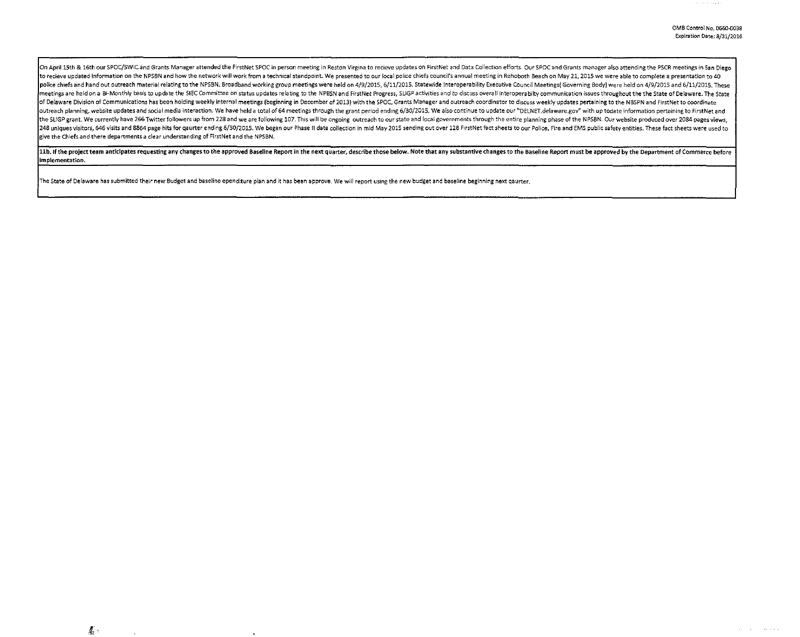On April 15th & 16th our SPOC/SWIC and Grants Manager attended the FirstNet SPOC in person meeting in Reston Virgina to recieve updates on FirstNet and Data Collection efforts. Our SPOC and Grants manager also attending th to recieve updated information on the NPSBN and how the network will work from a technical standpoint. We presented to our local police chiefs council's annual meeting in Rehoboth Beach on May 21, 2015 we were able to comp police chiefs and hand out outreach material relating to the NPSBN. Broadband working group meetings were held on 4/9/2015, 6/11/2015. Statewide Interoperability Executive Council Meetings Governing Body) were held on 4/9/ meetings are held on a Bi-Monthly basis to update the SIEC Committee on status updates relating to the NPBSN and FirstNet Progress, SLIGP activities and to discuss overall interoperabilty communication issues throughout th of Delaware Division of Communications has been holding weekly internal meetings (beginning in December of 2013) with the SPOC, Grants Manager and outreach coordinator to discuss weekly updates pertaining to the NBSPN and outreach planning, website updates and social media interaction. We have held a total of 64 meetings through the grant period ending 6/30/2015. We also continue to update our "DELNET delaware gov" with up todate informatio the SLIGP grant. We currently have 266 Twitter followers up from 228 and we are following 107. This will be ongoing outreach to our state and local governments through the entire planning phase of the NPSBN. Our website pr 248 uniques visitors, 646 visits and 8864 page hits for gaurter ending 6/30/2015. We began our Phase II data collection in mid May 2015 sending out over 128 FirstNet fact sheets to our Police, Fire and EMS public safety en give the Chiefs and there departments a clear understanding of FirstNet and the NPSBN.

11b. If the project team anticipates requesting any changes to the approved Baseline Report in the next quarter, describe those below. Note that any substantive changes to the Baseline Report must be approved by the Depart implementation.

The State of Delaware has submitted their new Budget and baseline ependiture plan and it has been approve, We will report using the new budget and baseline beginning next qaurter.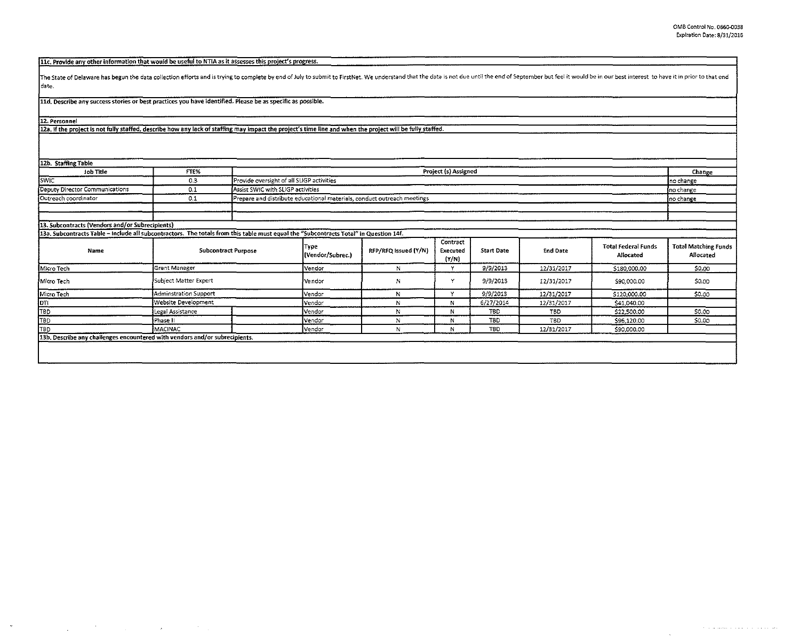| -------- |  | 11c, Provide any other information that would be useful to NTIA as it assesses this project's progress. |  |
|----------|--|---------------------------------------------------------------------------------------------------------|--|
|          |  |                                                                                                         |  |
|          |  |                                                                                                         |  |

The State of Delaware has begun the data collection efforts and is trying to complete by end of July to submit to FirstNet. We understand that the data is not due until the end of September but feel it would be in our best date.

lld. Describe any success stories or best practices you have identified. Please be as specific as possible.

12. Personnel

12a. If the project is not fully staffed, describe how any lack of staffing may impact the project's time line and when the project will be fully staffed.

| 12b. Staffing Table                                                                                                                   |                                                                                |  |                                           |                      |                               |                   |            |                                         |                                          |
|---------------------------------------------------------------------------------------------------------------------------------------|--------------------------------------------------------------------------------|--|-------------------------------------------|----------------------|-------------------------------|-------------------|------------|-----------------------------------------|------------------------------------------|
| Job Title                                                                                                                             | FTE%                                                                           |  | Project (s) Assigned                      |                      |                               |                   |            |                                         |                                          |
| <b>SWIC</b>                                                                                                                           | 0.3                                                                            |  | Provide oversight of all SLIGP activities |                      |                               |                   |            |                                         | Ino change                               |
| Deputy Director Communications                                                                                                        | 0.1                                                                            |  | Assist SWIC with SLIGP activities         |                      |                               |                   |            |                                         | Ino change                               |
| Outreach coordinator                                                                                                                  | Prepare and distribute educational materials, conduct outreach meetings<br>0.1 |  |                                           |                      |                               |                   |            | no change                               |                                          |
|                                                                                                                                       |                                                                                |  |                                           |                      |                               |                   |            |                                         |                                          |
|                                                                                                                                       |                                                                                |  |                                           |                      |                               |                   |            |                                         |                                          |
| 13. Subcontracts (Vendors and/or Subrecipients)                                                                                       |                                                                                |  |                                           |                      |                               |                   |            |                                         |                                          |
| 13a. Subcontracts Table - include all subcontractors. The totals from this table must equal the "Subcontracts Total" in Question 14f. |                                                                                |  |                                           |                      |                               |                   |            |                                         |                                          |
| Name                                                                                                                                  | <b>Subcontract Purpose</b>                                                     |  | Type<br>(Vendor/Subrec.)                  | RFP/RFQ Issued (Y/N) | Contract<br>Executed<br>(Y/N) | <b>Start Date</b> | End Date   | <b>Total Federal Funds</b><br>Allocated | <b>Total Matching Funds</b><br>Allocated |
| Micro Tech                                                                                                                            | Grant Manager                                                                  |  |                                           | N                    | v                             | 9/9/2013          | 12/31/2017 | \$180,000.00                            | \$0.00                                   |
| Micro Tech                                                                                                                            | Subject Matter Expert                                                          |  |                                           | N                    | Y                             | 9/9/2013          | 12/31/2017 | \$90,000.00                             | \$0.00                                   |
| Micro Tech                                                                                                                            | Adminstration Support                                                          |  | Vendor                                    | M                    | v                             | 9/9/2013          | 12/31/2017 | \$120,000.00                            | \$0.00                                   |
| lpri                                                                                                                                  | Website Development                                                            |  | Vendor                                    | N                    | N                             | 6/27/2014         | 12/31/2017 | \$41,040.00                             |                                          |
| TBD                                                                                                                                   | Legal Assistance                                                               |  | Vendor                                    | N                    | N                             | <b>TBD</b>        | <b>TBD</b> | \$22,500.00                             | \$0.00                                   |
| TB <sub>D</sub>                                                                                                                       | Phase II                                                                       |  | Vendor                                    | N                    | N                             | <b>TBD</b>        | <b>TBD</b> | \$96,120.00                             | \$0.00                                   |
| TB <sub>D</sub>                                                                                                                       | <b>I</b> MACINAC                                                               |  | Vendor                                    | N                    | N                             | <b>TBD</b>        | 12/31/2017 | \$90,000.00                             |                                          |
| 13b. Describe any challenges encountered with vendors and/or subrecipients.                                                           |                                                                                |  |                                           |                      |                               |                   |            |                                         |                                          |
|                                                                                                                                       |                                                                                |  |                                           |                      |                               |                   |            |                                         |                                          |
|                                                                                                                                       |                                                                                |  |                                           |                      |                               |                   |            |                                         |                                          |

 $\lambda$